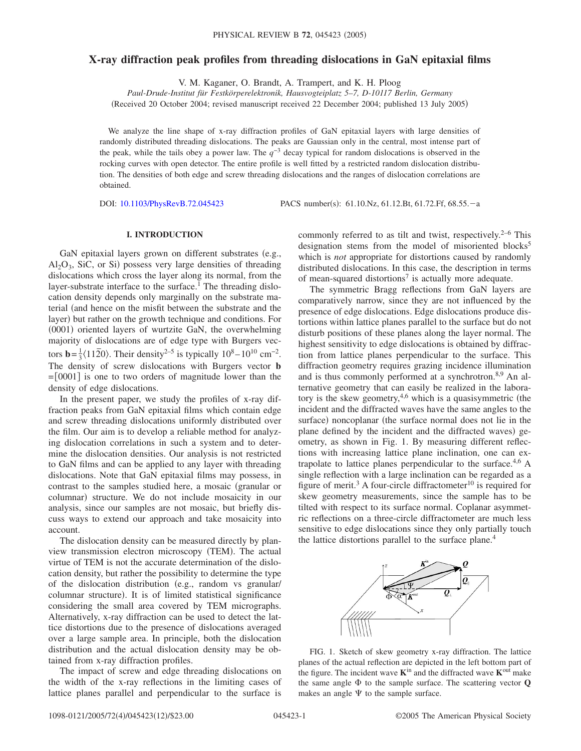# **X-ray diffraction peak profiles from threading dislocations in GaN epitaxial films**

V. M. Kaganer, O. Brandt, A. Trampert, and K. H. Ploog

*Paul-Drude-Institut für Festkörperelektronik, Hausvogteiplatz 5–7, D-10117 Berlin, Germany*

(Received 20 October 2004; revised manuscript received 22 December 2004; published 13 July 2005)

We analyze the line shape of x-ray diffraction profiles of GaN epitaxial layers with large densities of randomly distributed threading dislocations. The peaks are Gaussian only in the central, most intense part of the peak, while the tails obey a power law. The *q*−3 decay typical for random dislocations is observed in the rocking curves with open detector. The entire profile is well fitted by a restricted random dislocation distribution. The densities of both edge and screw threading dislocations and the ranges of dislocation correlations are obtained.

DOI: [10.1103/PhysRevB.72.045423](http://dx.doi.org/10.1103/PhysRevB.72.045423)

PACS number(s): 61.10.Nz, 61.12.Bt, 61.72.Ff, 68.55.-a

# **I. INTRODUCTION**

GaN epitaxial layers grown on different substrates (e.g.,  $Al_2O_3$ , SiC, or Si) possess very large densities of threading dislocations which cross the layer along its normal, from the layer-substrate interface to the surface.<sup> $\overline{1}$ </sup> The threading dislocation density depends only marginally on the substrate material (and hence on the misfit between the substrate and the layer) but rather on the growth technique and conditions. For (0001) oriented layers of wurtzite GaN, the overwhelming majority of dislocations are of edge type with Burgers vectors **b**= $\frac{1}{3}$ (1120). Their density<sup>2–5</sup> is typically  $10^8$ – $10^{10}$  cm<sup>-2</sup>. The density of screw dislocations with Burgers vector **b**  $=[0001]$  is one to two orders of magnitude lower than the density of edge dislocations.

In the present paper, we study the profiles of x-ray diffraction peaks from GaN epitaxial films which contain edge and screw threading dislocations uniformly distributed over the film. Our aim is to develop a reliable method for analyzing dislocation correlations in such a system and to determine the dislocation densities. Our analysis is not restricted to GaN films and can be applied to any layer with threading dislocations. Note that GaN epitaxial films may possess, in contrast to the samples studied here, a mosaic (granular or columnar) structure. We do not include mosaicity in our analysis, since our samples are not mosaic, but briefly discuss ways to extend our approach and take mosaicity into account.

The dislocation density can be measured directly by planview transmission electron microscopy (TEM). The actual virtue of TEM is not the accurate determination of the dislocation density, but rather the possibility to determine the type of the dislocation distribution (e.g., random vs granular/ columnar structure). It is of limited statistical significance considering the small area covered by TEM micrographs. Alternatively, x-ray diffraction can be used to detect the lattice distortions due to the presence of dislocations averaged over a large sample area. In principle, both the dislocation distribution and the actual dislocation density may be obtained from x-ray diffraction profiles.

The impact of screw and edge threading dislocations on the width of the x-ray reflections in the limiting cases of lattice planes parallel and perpendicular to the surface is

commonly referred to as tilt and twist, respectively.<sup>2–6</sup> This designation stems from the model of misoriented blocks<sup>5</sup> which is *not* appropriate for distortions caused by randomly distributed dislocations. In this case, the description in terms of mean-squared distortions<sup>7</sup> is actually more adequate.

The symmetric Bragg reflections from GaN layers are comparatively narrow, since they are not influenced by the presence of edge dislocations. Edge dislocations produce distortions within lattice planes parallel to the surface but do not disturb positions of these planes along the layer normal. The highest sensitivity to edge dislocations is obtained by diffraction from lattice planes perpendicular to the surface. This diffraction geometry requires grazing incidence illumination and is thus commonly performed at a synchrotron.<sup>8,9</sup> An alternative geometry that can easily be realized in the laboratory is the skew geometry,  $4.6$  which is a quasisymmetric (the incident and the diffracted waves have the same angles to the surface) noncoplanar (the surface normal does not lie in the plane defined by the incident and the diffracted waves) geometry, as shown in Fig. 1. By measuring different reflections with increasing lattice plane inclination, one can extrapolate to lattice planes perpendicular to the surface.<sup>4,6</sup> A single reflection with a large inclination can be regarded as a figure of merit.<sup>3</sup> A four-circle diffractometer<sup>10</sup> is required for skew geometry measurements, since the sample has to be tilted with respect to its surface normal. Coplanar asymmetric reflections on a three-circle diffractometer are much less sensitive to edge dislocations since they only partially touch the lattice distortions parallel to the surface plane.<sup>4</sup>



FIG. 1. Sketch of skew geometry x-ray diffraction. The lattice planes of the actual reflection are depicted in the left bottom part of the figure. The incident wave  $\mathbf{K}^{\text{in}}$  and the diffracted wave  $\mathbf{K}^{\text{out}}$  make the same angle  $\Phi$  to the sample surface. The scattering vector  $\mathbf Q$ makes an angle  $\Psi$  to the sample surface.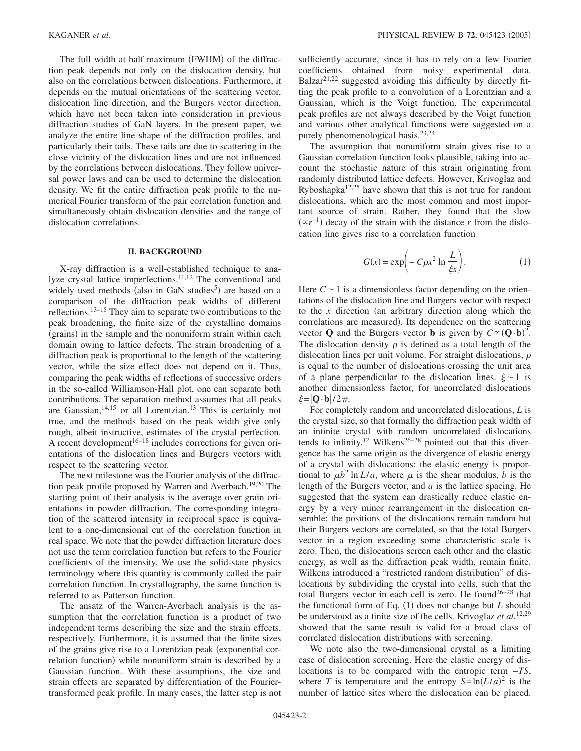The full width at half maximum (FWHM) of the diffraction peak depends not only on the dislocation density, but also on the correlations between dislocations. Furthermore, it depends on the mutual orientations of the scattering vector, dislocation line direction, and the Burgers vector direction, which have not been taken into consideration in previous diffraction studies of GaN layers. In the present paper, we analyze the entire line shape of the diffraction profiles, and particularly their tails. These tails are due to scattering in the close vicinity of the dislocation lines and are not influenced by the correlations between dislocations. They follow universal power laws and can be used to determine the dislocation density. We fit the entire diffraction peak profile to the numerical Fourier transform of the pair correlation function and simultaneously obtain dislocation densities and the range of dislocation correlations.

### **II. BACKGROUND**

X-ray diffraction is a well-established technique to analyze crystal lattice imperfections.<sup>11,12</sup> The conventional and widely used methods (also in GaN studies<sup>5</sup>) are based on a comparison of the diffraction peak widths of different reflections.13–15 They aim to separate two contributions to the peak broadening, the finite size of the crystalline domains (grains) in the sample and the nonuniform strain within each domain owing to lattice defects. The strain broadening of a diffraction peak is proportional to the length of the scattering vector, while the size effect does not depend on it. Thus, comparing the peak widths of reflections of successive orders in the so-called Williamson-Hall plot, one can separate both contributions. The separation method assumes that all peaks are Gaussian, $14,15$  or all Lorentzian.<sup>13</sup> This is certainly not true, and the methods based on the peak width give only rough, albeit instructive, estimates of the crystal perfection. A recent development<sup>16–18</sup> includes corrections for given orientations of the dislocation lines and Burgers vectors with respect to the scattering vector.

The next milestone was the Fourier analysis of the diffraction peak profile proposed by Warren and Averbach.<sup>19,20</sup> The starting point of their analysis is the average over grain orientations in powder diffraction. The corresponding integration of the scattered intensity in reciprocal space is equivalent to a one-dimensional cut of the correlation function in real space. We note that the powder diffraction literature does not use the term correlation function but refers to the Fourier coefficients of the intensity. We use the solid-state physics terminology where this quantity is commonly called the pair correlation function. In crystallography, the same function is referred to as Patterson function.

The ansatz of the Warren-Averbach analysis is the assumption that the correlation function is a product of two independent terms describing the size and the strain effects, respectively. Furthermore, it is assumed that the finite sizes of the grains give rise to a Lorentzian peak (exponential correlation function) while nonuniform strain is described by a Gaussian function. With these assumptions, the size and strain effects are separated by differentiation of the Fouriertransformed peak profile. In many cases, the latter step is not sufficiently accurate, since it has to rely on a few Fourier coefficients obtained from noisy experimental data. Balzar<sup>21,22</sup> suggested avoiding this difficulty by directly fitting the peak profile to a convolution of a Lorentzian and a Gaussian, which is the Voigt function. The experimental peak profiles are not always described by the Voigt function and various other analytical functions were suggested on a purely phenomenological basis.<sup>23,24</sup>

The assumption that nonuniform strain gives rise to a Gaussian correlation function looks plausible, taking into account the stochastic nature of this strain originating from randomly distributed lattice defects. However, Krivoglaz and Ryboshapka $12,25$  have shown that this is not true for random dislocations, which are the most common and most important source of strain. Rather, they found that the slow  $(xr^{-1})$  decay of the strain with the distance *r* from the dislocation line gives rise to a correlation function

$$
G(x) = \exp\left(-C\rho x^2 \ln \frac{L}{\xi x}\right). \tag{1}
$$

Here  $C \sim 1$  is a dimensionless factor depending on the orientations of the dislocation line and Burgers vector with respect to the  $x$  direction (an arbitrary direction along which the correlations are measured). Its dependence on the scattering vector **Q** and the Burgers vector **b** is given by  $C \propto (\mathbf{Q} \cdot \mathbf{b})^2$ . The dislocation density  $\rho$  is defined as a total length of the dislocation lines per unit volume. For straight dislocations,  $\rho$ is equal to the number of dislocations crossing the unit area of a plane perpendicular to the dislocation lines.  $\xi \sim 1$  is another dimensionless factor, for uncorrelated dislocations  $\xi = |Q \cdot b|/2\pi.$ 

For completely random and uncorrelated dislocations, *L* is the crystal size, so that formally the diffraction peak width of an infinite crystal with random uncorrelated dislocations tends to infinity.<sup>12</sup> Wilkens<sup>26-28</sup> pointed out that this divergence has the same origin as the divergence of elastic energy of a crystal with dislocations: the elastic energy is proportional to  $\mu b^2 \ln L/a$ , where  $\mu$  is the shear modulus, *b* is the length of the Burgers vector, and *a* is the lattice spacing. He suggested that the system can drastically reduce elastic energy by a very minor rearrangement in the dislocation ensemble: the positions of the dislocations remain random but their Burgers vectors are correlated, so that the total Burgers vector in a region exceeding some characteristic scale is zero. Then, the dislocations screen each other and the elastic energy, as well as the diffraction peak width, remain finite. Wilkens introduced a "restricted random distribution" of dislocations by subdividing the crystal into cells, such that the total Burgers vector in each cell is zero. He found<sup>26-28</sup> that the functional form of Eq.  $(1)$  does not change but  $L$  should be understood as a finite size of the cells. Krivoglaz *et al.*12,29 showed that the same result is valid for a broad class of correlated dislocation distributions with screening.

We note also the two-dimensional crystal as a limiting case of dislocation screening. Here the elastic energy of dislocations is to be compared with the entropic term −*TS*, where *T* is temperature and the entropy  $S = \ln(L/a)^2$  is the number of lattice sites where the dislocation can be placed.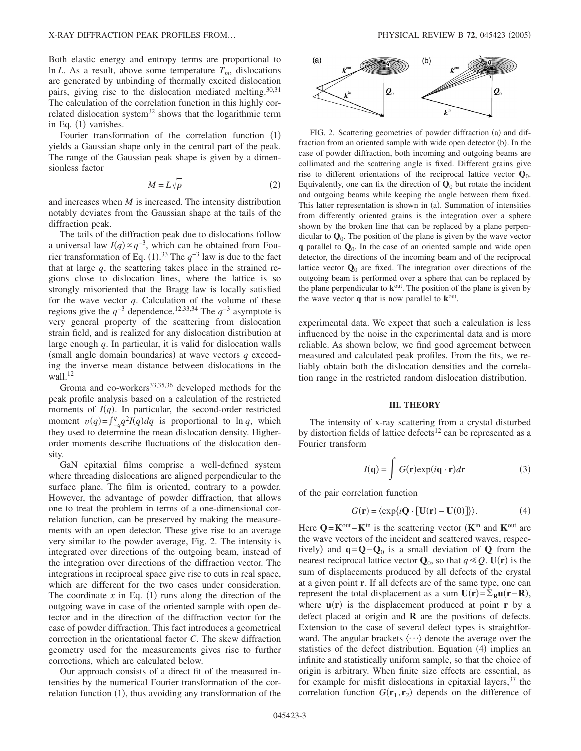Both elastic energy and entropy terms are proportional to ln *L*. As a result, above some temperature  $T_m$ , dislocations are generated by unbinding of thermally excited dislocation pairs, giving rise to the dislocation mediated melting.<sup>30,31</sup> The calculation of the correlation function in this highly correlated dislocation system $32$  shows that the logarithmic term in Eq. (1) vanishes.

Fourier transformation of the correlation function (1) yields a Gaussian shape only in the central part of the peak. The range of the Gaussian peak shape is given by a dimensionless factor

$$
M = L\sqrt{\rho} \tag{2}
$$

and increases when *M* is increased. The intensity distribution notably deviates from the Gaussian shape at the tails of the diffraction peak.

The tails of the diffraction peak due to dislocations follow a universal law  $I(q) \propto q^{-3}$ , which can be obtained from Fourier transformation of Eq.  $(1)$ .<sup>33</sup> The  $q^{-3}$  law is due to the fact that at large *q*, the scattering takes place in the strained regions close to dislocation lines, where the lattice is so strongly misoriented that the Bragg law is locally satisfied for the wave vector *q*. Calculation of the volume of these regions give the  $q^{-3}$  dependence.<sup>12,33,34</sup> The  $q^{-3}$  asymptote is very general property of the scattering from dislocation strain field, and is realized for any dislocation distribution at large enough *q*. In particular, it is valid for dislocation walls (small angle domain boundaries) at wave vectors  $q$  exceeding the inverse mean distance between dislocations in the wall.<sup>12</sup>

Groma and co-workers $33,35,36$  developed methods for the peak profile analysis based on a calculation of the restricted moments of  $I(q)$ . In particular, the second-order restricted moment  $v(q) = \int_{-q}^{q} q^2 I(q) dq$  is proportional to ln *q*, which they used to determine the mean dislocation density. Higherorder moments describe fluctuations of the dislocation density.

GaN epitaxial films comprise a well-defined system where threading dislocations are aligned perpendicular to the surface plane. The film is oriented, contrary to a powder. However, the advantage of powder diffraction, that allows one to treat the problem in terms of a one-dimensional correlation function, can be preserved by making the measurements with an open detector. These give rise to an average very similar to the powder average, Fig. 2. The intensity is integrated over directions of the outgoing beam, instead of the integration over directions of the diffraction vector. The integrations in reciprocal space give rise to cuts in real space, which are different for the two cases under consideration. The coordinate  $x$  in Eq.  $(1)$  runs along the direction of the outgoing wave in case of the oriented sample with open detector and in the direction of the diffraction vector for the case of powder diffraction. This fact introduces a geometrical correction in the orientational factor *C*. The skew diffraction geometry used for the measurements gives rise to further corrections, which are calculated below.

Our approach consists of a direct fit of the measured intensities by the numerical Fourier transformation of the correlation function (1), thus avoiding any transformation of the



FIG. 2. Scattering geometries of powder diffraction (a) and diffraction from an oriented sample with wide open detector (b). In the case of powder diffraction, both incoming and outgoing beams are collimated and the scattering angle is fixed. Different grains give rise to different orientations of the reciprocal lattice vector  $Q_0$ . Equivalently, one can fix the direction of  $\mathbf{Q}_0$  but rotate the incident and outgoing beams while keeping the angle between them fixed. This latter representation is shown in (a). Summation of intensities from differently oriented grains is the integration over a sphere shown by the broken line that can be replaced by a plane perpendicular to  $\mathbf{Q}_0$ . The position of the plane is given by the wave vector **q** parallel to  $\mathbf{Q}_0$ . In the case of an oriented sample and wide open detector, the directions of the incoming beam and of the reciprocal lattice vector  $\mathbf{Q}_0$  are fixed. The integration over directions of the outgoing beam is performed over a sphere that can be replaced by the plane perpendicular to  $\mathbf{k}^{\text{out}}$ . The position of the plane is given by the wave vector  $q$  that is now parallel to  $k^{\text{out}}$ .

experimental data. We expect that such a calculation is less influenced by the noise in the experimental data and is more reliable. As shown below, we find good agreement between measured and calculated peak profiles. From the fits, we reliably obtain both the dislocation densities and the correlation range in the restricted random dislocation distribution.

#### **III. THEORY**

The intensity of x-ray scattering from a crystal disturbed by distortion fields of lattice defects<sup>12</sup> can be represented as a Fourier transform

$$
I(\mathbf{q}) = \int G(\mathbf{r}) \exp(i\mathbf{q} \cdot \mathbf{r}) d\mathbf{r}
$$
 (3)

of the pair correlation function

$$
G(\mathbf{r}) = \langle \exp\{i\mathbf{Q} \cdot [\mathbf{U}(\mathbf{r}) - \mathbf{U}(0)]\} \rangle.
$$
 (4)

Here  $Q = K^{out} - K^{in}$  is the scattering vector  $(K^{in}$  and  $K^{out}$  are the wave vectors of the incident and scattered waves, respectively) and  $\mathbf{q} = \mathbf{Q} - \mathbf{Q}_0$  is a small deviation of  $\mathbf{Q}$  from the nearest reciprocal lattice vector  $\mathbf{Q}_0$ , so that  $q \leq Q$ .  $\mathbf{U}(\mathbf{r})$  is the sum of displacements produced by all defects of the crystal at a given point **r**. If all defects are of the same type, one can represent the total displacement as a sum  $U(r) = \sum_{R} u(r - R)$ , where  $\mathbf{u}(\mathbf{r})$  is the displacement produced at point **r** by a defect placed at origin and **R** are the positions of defects. Extension to the case of several defect types is straightforward. The angular brackets  $\langle \cdots \rangle$  denote the average over the statistics of the defect distribution. Equation (4) implies an infinite and statistically uniform sample, so that the choice of origin is arbitrary. When finite size effects are essential, as for example for misfit dislocations in epitaxial layers,  $37$  the correlation function  $G(\mathbf{r}_1, \mathbf{r}_2)$  depends on the difference of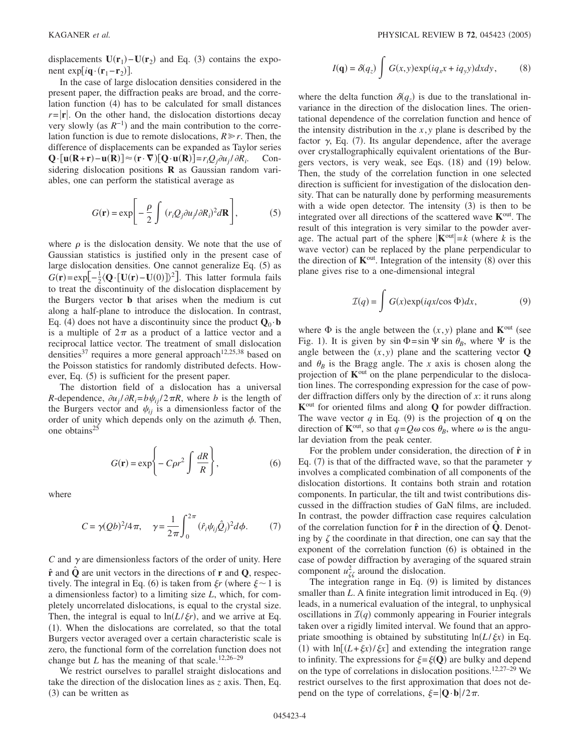displacements  $U(\mathbf{r}_1) - U(\mathbf{r}_2)$  and Eq. (3) contains the exponent exp[ $i\mathbf{q} \cdot (\mathbf{r}_1 - \mathbf{r}_2)$ ].

In the case of large dislocation densities considered in the present paper, the diffraction peaks are broad, and the correlation function (4) has to be calculated for small distances  $r = |\mathbf{r}|$ . On the other hand, the dislocation distortions decay very slowly (as  $R^{-1}$ ) and the main contribution to the correlation function is due to remote dislocations,  $R \ge r$ . Then, the difference of displacements can be expanded as Taylor series  $Q \cdot [\mathbf{u}(\mathbf{R}+\mathbf{r})-\mathbf{u}(\mathbf{R})] \approx (\mathbf{r} \cdot \nabla)[Q \cdot \mathbf{u}(\mathbf{R})] = r_i Q_j \partial u_j / \partial R_i$ . Considering dislocation positions **R** as Gaussian random variables, one can perform the statistical average as

$$
G(\mathbf{r}) = \exp\left[-\frac{\rho}{2}\int (r_i Q_j \partial u_j / \partial R_i)^2 d\mathbf{R}\right],
$$
 (5)

where  $\rho$  is the dislocation density. We note that the use of Gaussian statistics is justified only in the present case of large dislocation densities. One cannot generalize Eq. (5) as  $G(\mathbf{r}) = \exp[-\frac{1}{2}\langle \mathbf{Q} \cdot [\mathbf{U}(\mathbf{r}) - \mathbf{U}(0)]\rangle^2]$ . This latter formula fails to treat the discontinuity of the dislocation displacement by the Burgers vector **b** that arises when the medium is cut along a half-plane to introduce the dislocation. In contrast, Eq. (4) does not have a discontinuity since the product  $\mathbf{Q}_0 \cdot \mathbf{b}$ is a multiple of  $2\pi$  as a product of a lattice vector and a reciprocal lattice vector. The treatment of small dislocation densities<sup>37</sup> requires a more general approach<sup>12,25,38</sup> based on the Poisson statistics for randomly distributed defects. However, Eq. (5) is sufficient for the present paper.

The distortion field of a dislocation has a universal *R*-dependence,  $\partial u_i / \partial R_i = b \psi_{ii} / 2 \pi R$ , where *b* is the length of the Burgers vector and  $\psi_{ij}$  is a dimensionless factor of the order of unity which depends only on the azimuth  $\phi$ . Then, one obtains<sup>25</sup>

$$
G(\mathbf{r}) = \exp\left\{-C\rho r^2 \int \frac{dR}{R}\right\},\tag{6}
$$

where

$$
C = \gamma (Qb)^{2}/4\pi, \quad \gamma = \frac{1}{2\pi} \int_{0}^{2\pi} (\hat{r}_{i}\psi_{ij}\hat{Q}_{j})^{2} d\phi. \tag{7}
$$

 $C$  and  $\gamma$  are dimensionless factors of the order of unity. Here **r**ˆ and **Q**ˆ are unit vectors in the directions of **r** and **Q**, respectively. The integral in Eq. (6) is taken from  $\xi r$  (where  $\xi \sim 1$  is a dimensionless factor) to a limiting size *L*, which, for completely uncorrelated dislocations, is equal to the crystal size. Then, the integral is equal to  $\ln(L/\xi r)$ , and we arrive at Eq. (1). When the dislocations are correlated, so that the total Burgers vector averaged over a certain characteristic scale is zero, the functional form of the correlation function does not change but *L* has the meaning of that scale.<sup>12,26–29</sup>

We restrict ourselves to parallel straight dislocations and take the direction of the dislocation lines as *z* axis. Then, Eq. (3) can be written as

$$
I(\mathbf{q}) = \delta(q_z) \int G(x, y) \exp(iq_x x + iq_y y) dx dy, \qquad (8)
$$

where the delta function  $\delta(q_z)$  is due to the translational invariance in the direction of the dislocation lines. The orientational dependence of the correlation function and hence of the intensity distribution in the  $x, y$  plane is described by the factor  $\gamma$ , Eq. (7). Its angular dependence, after the average over crystallographically equivalent orientations of the Burgers vectors, is very weak, see Eqs. (18) and (19) below. Then, the study of the correlation function in one selected direction is sufficient for investigation of the dislocation density. That can be naturally done by performing measurements with a wide open detector. The intensity  $(3)$  is then to be integrated over all directions of the scattered wave **K**out. The result of this integration is very similar to the powder average. The actual part of the sphere  $|\mathbf{K}^{\text{out}}| = k$  (where *k* is the wave vector) can be replaced by the plane perpendicular to the direction of  $K<sup>out</sup>$ . Integration of the intensity (8) over this plane gives rise to a one-dimensional integral

$$
\mathcal{I}(q) = \int G(x) \exp(iqx/\cos \Phi) dx, \tag{9}
$$

where  $\Phi$  is the angle between the  $(x, y)$  plane and  $\mathbf{K}^{\text{out}}$  (see Fig. 1). It is given by  $\sin \Phi = \sin \Psi \sin \theta_B$ , where  $\Psi$  is the angle between the  $(x, y)$  plane and the scattering vector  $Q$ and  $\theta_B$  is the Bragg angle. The *x* axis is chosen along the projection of  $K<sup>out</sup>$  on the plane perpendicular to the dislocation lines. The corresponding expression for the case of powder diffraction differs only by the direction of *x*: it runs along **K**out for oriented films and along **Q** for powder diffraction. The wave vector  $q$  in Eq. (9) is the projection of  $q$  on the direction of  $\mathbf{K}^{\text{out}}$ , so that  $q = Q\omega \cos \theta_R$ , where  $\omega$  is the angular deviation from the peak center.

For the problem under consideration, the direction of  $\hat{\mathbf{r}}$  in Eq. (7) is that of the diffracted wave, so that the parameter  $\gamma$ involves a complicated combination of all components of the dislocation distortions. It contains both strain and rotation components. In particular, the tilt and twist contributions discussed in the diffraction studies of GaN films, are included. In contrast, the powder diffraction case requires calculation of the correlation function for **r**ˆ in the direction of **Q**ˆ . Denoting by  $\zeta$  the coordinate in that direction, one can say that the exponent of the correlation function (6) is obtained in the case of powder diffraction by averaging of the squared strain component  $u_{\zeta\zeta}^2$  around the dislocation.

The integration range in Eq. (9) is limited by distances smaller than  $L$ . A finite integration limit introduced in Eq.  $(9)$ leads, in a numerical evaluation of the integral, to unphysical oscillations in  $\mathcal{I}(q)$  commonly appearing in Fourier integrals taken over a rigidly limited interval. We found that an appropriate smoothing is obtained by substituting  $ln(L/\xi x)$  in Eq. (1) with  $ln[(L+\xi x)/\xi x]$  and extending the integration range to infinity. The expressions for  $\xi = \xi(Q)$  are bulky and depend on the type of correlations in dislocation positions.<sup>12,27–29</sup> We restrict ourselves to the first approximation that does not depend on the type of correlations,  $\xi = |Q \cdot b|/2\pi$ .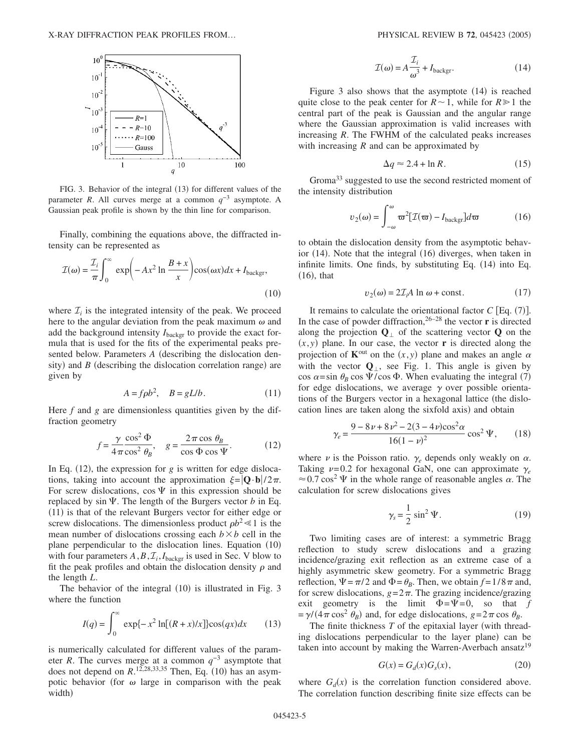

FIG. 3. Behavior of the integral (13) for different values of the parameter *R*. All curves merge at a common *q*−3 asymptote. A Gaussian peak profile is shown by the thin line for comparison.

Finally, combining the equations above, the diffracted intensity can be represented as

$$
\mathcal{I}(\omega) = \frac{\mathcal{I}_i}{\pi} \int_0^\infty \exp\left(-Ax^2 \ln \frac{B+x}{x}\right) \cos(\omega x) dx + I_{\text{background}} \tag{10}
$$

where  $\mathcal{I}_i$  is the integrated intensity of the peak. We proceed here to the angular deviation from the peak maximum  $\omega$  and add the background intensity  $I_{\text{background}}$  to provide the exact formula that is used for the fits of the experimental peaks presented below. Parameters *A* (describing the dislocation density) and  $B$  (describing the dislocation correlation range) are given by

$$
A = f \rho b^2, \quad B = gL/b. \tag{11}
$$

Here *f* and *g* are dimensionless quantities given by the diffraction geometry

$$
f = \frac{\gamma \cos^2 \Phi}{4\pi \cos^2 \theta_B}, \quad g = \frac{2\pi \cos \theta_B}{\cos \Phi \cos \Psi}.
$$
 (12)

In Eq.  $(12)$ , the expression for  $g$  is written for edge dislocations, taking into account the approximation  $\xi = |Q \cdot b|/2\pi$ . For screw dislocations, cos  $\Psi$  in this expression should be replaced by sin  $\Psi$ . The length of the Burgers vector *b* in Eq. (11) is that of the relevant Burgers vector for either edge or screw dislocations. The dimensionless product  $\rho b^2 \ll 1$  is the mean number of dislocations crossing each  $b \times b$  cell in the plane perpendicular to the dislocation lines. Equation (10) with four parameters  $A$ ,  $B$ ,  $\mathcal{I}_i$ ,  $I_{\text{background}}$  is used in Sec. V blow to fit the peak profiles and obtain the dislocation density  $\rho$  and the length *L*.

The behavior of the integral (10) is illustrated in Fig. 3 where the function

$$
I(q) = \int_0^\infty \exp\{-x^2 \ln[(R+x)/x]\} \cos(qx) dx
$$
 (13)

is numerically calculated for different values of the parameter *R*. The curves merge at a common  $q^{-3}$  asymptote that does not depend on  $R$ .<sup>12,28,33,35</sup> Then, Eq. (10) has an asympotic behavior (for  $\omega$  large in comparison with the peak width)

$$
\mathcal{I}(\omega) = A \frac{\mathcal{I}_i}{\omega^3} + I_{\text{background}}.\tag{14}
$$

Figure  $3$  also shows that the asymptote  $(14)$  is reached quite close to the peak center for  $R \sim 1$ , while for  $R \ge 1$  the central part of the peak is Gaussian and the angular range where the Gaussian approximation is valid increases with increasing *R*. The FWHM of the calculated peaks increases with increasing *R* and can be approximated by

$$
\Delta q \approx 2.4 + \ln R. \tag{15}
$$

Groma<sup>33</sup> suggested to use the second restricted moment of the intensity distribution

$$
v_2(\omega) = \int_{-\omega}^{\omega} \varpi^2 [\mathcal{I}(\varpi) - I_{\text{background}}] d\varpi \qquad (16)
$$

to obtain the dislocation density from the asymptotic behavior (14). Note that the integral (16) diverges, when taken in infinite limits. One finds, by substituting Eq. (14) into Eq.  $(16)$ , that

$$
v_2(\omega) = 2\mathcal{I}_i A \ln \omega + \text{const.} \tag{17}
$$

It remains to calculate the orientational factor  $C$  [Eq.  $(7)$ ]. In the case of powder diffraction,  $26-28$  the vector **r** is directed along the projection  $Q_1$  of the scattering vector  $Q_2$  on the  $(x, y)$  plane. In our case, the vector **r** is directed along the projection of  $K<sup>out</sup>$  on the  $(x, y)$  plane and makes an angle  $\alpha$ with the vector  $Q_{\perp}$ , see Fig. 1. This angle is given by cos  $\alpha$ =sin  $\theta_B$  cos  $\Psi$ /cos  $\Phi$ . When evaluating the integral (7) for edge dislocations, we average  $\gamma$  over possible orientations of the Burgers vector in a hexagonal lattice (the dislocation lines are taken along the sixfold axis) and obtain

$$
\gamma_e = \frac{9 - 8\nu + 8\nu^2 - 2(3 - 4\nu)\cos^2\alpha}{16(1 - \nu)^2}\cos^2\Psi,\qquad(18)
$$

where  $\nu$  is the Poisson ratio.  $\gamma_e$  depends only weakly on  $\alpha$ . Taking  $\nu = 0.2$  for hexagonal GaN, one can approximate  $\gamma_e$  $\approx 0.7 \cos^2 \Psi$  in the whole range of reasonable angles  $\alpha$ . The calculation for screw dislocations gives

$$
\gamma_s = \frac{1}{2}\sin^2\Psi.
$$
 (19)

Two limiting cases are of interest: a symmetric Bragg reflection to study screw dislocations and a grazing incidence/grazing exit reflection as an extreme case of a highly asymmetric skew geometry. For a symmetric Bragg reflection,  $\Psi = \pi/2$  and  $\Phi = \theta_B$ . Then, we obtain  $f = 1/8 \pi$  and, for screw dislocations,  $g=2\pi$ . The grazing incidence/grazing exit geometry is the limit  $\Phi = \Psi = 0$ , so that *f*  $=\gamma/(4\pi\cos^2\theta_B)$  and, for edge dislocations,  $g=2\pi\cos\theta_B$ .

The finite thickness  $T$  of the epitaxial layer (with threading dislocations perpendicular to the layer plane) can be taken into account by making the Warren-Averbach ansatz<sup>19</sup>

$$
G(x) = G_d(x)G_s(x),\tag{20}
$$

where  $G_d(x)$  is the correlation function considered above. The correlation function describing finite size effects can be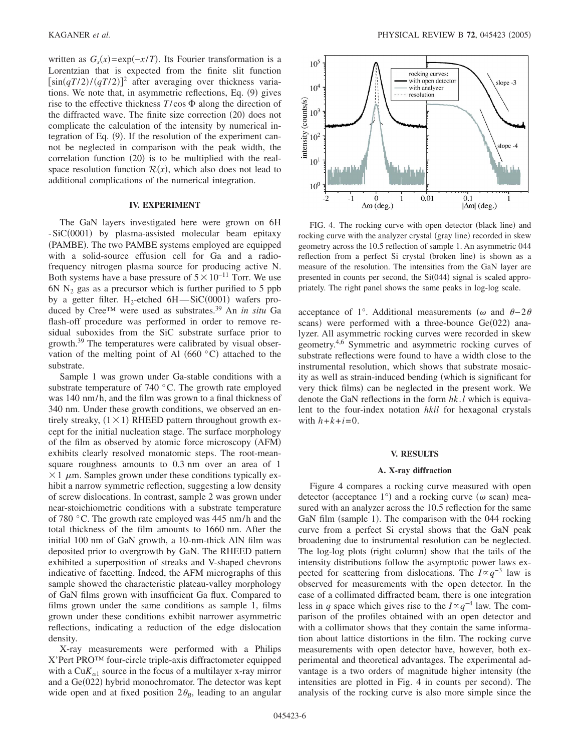written as  $G_s(x) = \exp(-x/T)$ . Its Fourier transformation is a Lorentzian that is expected from the finite slit function  $[\sin(qT/2)/(qT/2)]^2$  after averaging over thickness variations. We note that, in asymmetric reflections, Eq. (9) gives rise to the effective thickness  $T/\cos \Phi$  along the direction of the diffracted wave. The finite size correction (20) does not complicate the calculation of the intensity by numerical integration of Eq. (9). If the resolution of the experiment cannot be neglected in comparison with the peak width, the correlation function (20) is to be multiplied with the realspace resolution function  $\mathcal{R}(x)$ , which also does not lead to additional complications of the numerical integration.

# **IV. EXPERIMENT**

The GaN layers investigated here were grown on 6H -SiC(0001) by plasma-assisted molecular beam epitaxy (PAMBE). The two PAMBE systems employed are equipped with a solid-source effusion cell for Ga and a radiofrequency nitrogen plasma source for producing active N. Both systems have a base pressure of  $5 \times 10^{-11}$  Torr. We use  $6N N<sub>2</sub>$  gas as a precursor which is further purified to 5 ppb by a getter filter. H<sub>2</sub>-etched  $6H-SiC(0001)$  wafers produced by Cree™ were used as substrates.39 An *in situ* Ga flash-off procedure was performed in order to remove residual suboxides from the SiC substrate surface prior to growth.<sup>39</sup> The temperatures were calibrated by visual observation of the melting point of Al  $(660 °C)$  attached to the substrate.

Sample 1 was grown under Ga-stable conditions with a substrate temperature of 740 °C. The growth rate employed was 140 nm/h, and the film was grown to a final thickness of 340 nm. Under these growth conditions, we observed an entirely streaky,  $(1 \times 1)$  RHEED pattern throughout growth except for the initial nucleation stage. The surface morphology of the film as observed by atomic force microscopy (AFM) exhibits clearly resolved monatomic steps. The root-meansquare roughness amounts to 0.3 nm over an area of 1  $\times$  1  $\mu$ m. Samples grown under these conditions typically exhibit a narrow symmetric reflection, suggesting a low density of screw dislocations. In contrast, sample 2 was grown under near-stoichiometric conditions with a substrate temperature of 780 °C. The growth rate employed was 445 nm/h and the total thickness of the film amounts to 1660 nm. After the initial 100 nm of GaN growth, a 10-nm-thick AlN film was deposited prior to overgrowth by GaN. The RHEED pattern exhibited a superposition of streaks and V-shaped chevrons indicative of facetting. Indeed, the AFM micrographs of this sample showed the characteristic plateau-valley morphology of GaN films grown with insufficient Ga flux. Compared to films grown under the same conditions as sample 1, films grown under these conditions exhibit narrower asymmetric reflections, indicating a reduction of the edge dislocation density.

X-ray measurements were performed with a Philips X'Pert PRO™ four-circle triple-axis diffractometer equipped with a  $CuK_{\alpha1}$  source in the focus of a multilayer x-ray mirror and a Ge(022) hybrid monochromator. The detector was kept wide open and at fixed position  $2\theta_B$ , leading to an angular



FIG. 4. The rocking curve with open detector (black line) and rocking curve with the analyzer crystal (gray line) recorded in skew geometry across the 10.5 reflection of sample 1. An asymmetric 044 reflection from a perfect Si crystal (broken line) is shown as a measure of the resolution. The intensities from the GaN layer are presented in counts per second, the  $Si(044)$  signal is scaled appropriately. The right panel shows the same peaks in log-log scale.

acceptance of 1°. Additional measurements ( $\omega$  and  $\theta - 2\theta$ scans) were performed with a three-bounce Ge(022) analyzer. All asymmetric rocking curves were recorded in skew geometry.4,6 Symmetric and asymmetric rocking curves of substrate reflections were found to have a width close to the instrumental resolution, which shows that substrate mosaicity as well as strain-induced bending (which is significant for very thick films) can be neglected in the present work. We denote the GaN reflections in the form *hk*.*l* which is equivalent to the four-index notation *hkil* for hexagonal crystals with  $h+k+i=0$ .

## **V. RESULTS**

## **A. X-ray diffraction**

Figure 4 compares a rocking curve measured with open detector (acceptance 1°) and a rocking curve ( $\omega$  scan) measured with an analyzer across the 10.5 reflection for the same GaN film (sample 1). The comparison with the 044 rocking curve from a perfect Si crystal shows that the GaN peak broadening due to instrumental resolution can be neglected. The log-log plots (right column) show that the tails of the intensity distributions follow the asymptotic power laws expected for scattering from dislocations. The  $I \propto q^{-3}$  law is observed for measurements with the open detector. In the case of a collimated diffracted beam, there is one integration less in *q* space which gives rise to the  $I \propto q^{-4}$  law. The comparison of the profiles obtained with an open detector and with a collimator shows that they contain the same information about lattice distortions in the film. The rocking curve measurements with open detector have, however, both experimental and theoretical advantages. The experimental advantage is a two orders of magnitude higher intensity (the intensities are plotted in Fig. 4 in counts per second). The analysis of the rocking curve is also more simple since the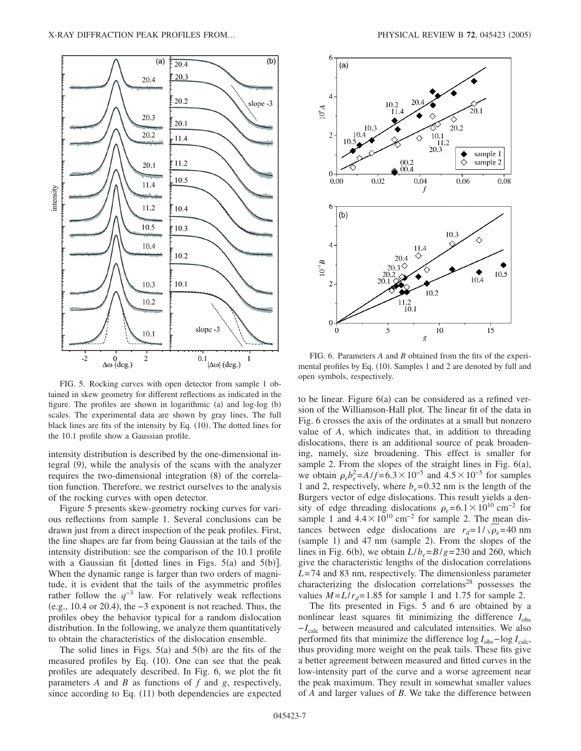

FIG. 5. Rocking curves with open detector from sample 1 obtained in skew geometry for different reflections as indicated in the figure. The profiles are shown in logarithmic (a) and log-log (b) scales. The experimental data are shown by gray lines. The full black lines are fits of the intensity by Eq. (10). The dotted lines for the 10.1 profile show a Gaussian profile.

intensity distribution is described by the one-dimensional integral (9), while the analysis of the scans with the analyzer requires the two-dimensional integration (8) of the correlation function. Therefore, we restrict ourselves to the analysis of the rocking curves with open detector.

Figure 5 presents skew-geometry rocking curves for various reflections from sample 1. Several conclusions can be drawn just from a direct inspection of the peak profiles. First, the line shapes are far from being Gaussian at the tails of the intensity distribution: see the comparison of the 10.1 profile with a Gaussian fit [dotted lines in Figs.  $5(a)$  and  $5(b)$ ]. When the dynamic range is larger than two orders of magnitude, it is evident that the tails of the asymmetric profiles rather follow the  $q^{-3}$  law. For relatively weak reflections (e.g., 10.4 or 20.4), the  $-3$  exponent is not reached. Thus, the profiles obey the behavior typical for a random dislocation distribution. In the following, we analyze them quantitatively to obtain the characteristics of the dislocation ensemble.

The solid lines in Figs.  $5(a)$  and  $5(b)$  are the fits of the measured profiles by Eq. (10). One can see that the peak profiles are adequately described. In Fig. 6, we plot the fit parameters *A* and *B* as functions of *f* and *g*, respectively, since according to Eq. (11) both dependencies are expected



FIG. 6. Parameters *A* and *B* obtained from the fits of the experimental profiles by Eq. (10). Samples 1 and 2 are denoted by full and open symbols, respectively.

to be linear. Figure  $6(a)$  can be considered as a refined version of the Williamson-Hall plot. The linear fit of the data in Fig. 6 crosses the axis of the ordinates at a small but nonzero value of *A*, which indicates that, in addition to threading dislocations, there is an additional source of peak broadening, namely, size broadening. This effect is smaller for sample 2. From the slopes of the straight lines in Fig.  $6(a)$ , we obtain  $\rho_e b_e^2 = A/f = 6.3 \times 10^{-5}$  and  $4.5 \times 10^{-5}$  for samples 1 and 2, respectively, where  $b_e = 0.32$  nm is the length of the Burgers vector of edge dislocations. This result yields a density of edge threading dislocations  $\rho_e$ =6.1 × 10<sup>10</sup> cm<sup>-2</sup> for sample 1 and  $4.4 \times 10^{10}$  cm<sup>-2</sup> for sample 2. The <u>mean</u> distances between edge dislocations are  $r_d = 1/\sqrt{\rho_e} = 40$  nm (sample 1) and 47 nm (sample 2). From the slopes of the lines in Fig. 6(b), we obtain  $L/b_e = B/g = 230$  and 260, which give the characteristic lengths of the dislocation correlations *L*= 74 and 83 nm, respectively. The dimensionless parameter characterizing the dislocation correlations<sup>28</sup> possesses the values  $M = L/r_d = 1.85$  for sample 1 and 1.75 for sample 2.

The fits presented in Figs. 5 and 6 are obtained by a nonlinear least squares fit minimizing the difference  $I_{obs}$ −*I*calc between measured and calculated intensities. We also performed fits that minimize the difference log *I*<sub>obs</sub>−log *I*<sub>calc</sub>, thus providing more weight on the peak tails. These fits give a better agreement between measured and fitted curves in the low-intensity part of the curve and a worse agreement near the peak maximum. They result in somewhat smaller values of *A* and larger values of *B*. We take the difference between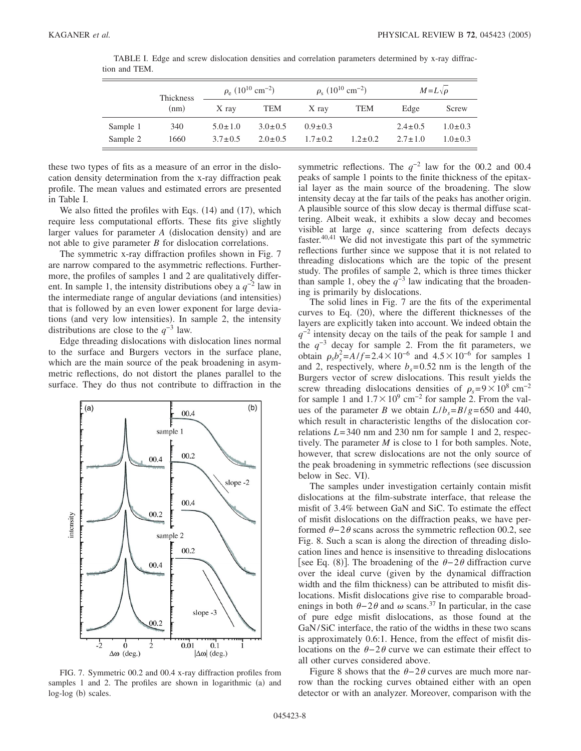|          | Thickness<br>(nm) | $\rho_e$ (10 <sup>10</sup> cm <sup>-2</sup> ) |               | $\rho_s$ (10 <sup>10</sup> cm <sup>-2</sup> ) |               | $M = L \sqrt{\rho}$ |               |
|----------|-------------------|-----------------------------------------------|---------------|-----------------------------------------------|---------------|---------------------|---------------|
|          |                   | X ray                                         | TEM           | X ray                                         | TEM           | Edge                | Screw         |
| Sample 1 | 340               | $5.0 \pm 1.0$                                 | $3.0 \pm 0.5$ | $0.9 \pm 0.3$                                 |               | $2.4 \pm 0.5$       | $1.0 \pm 0.3$ |
| Sample 2 | 1660              | $3.7 \pm 0.5$                                 | $2.0 \pm 0.5$ | $1.7 \pm 0.2$                                 | $1.2 \pm 0.2$ | $2.7 \pm 1.0$       | $1.0 \pm 0.3$ |

TABLE I. Edge and screw dislocation densities and correlation parameters determined by x-ray diffraction and TEM.

these two types of fits as a measure of an error in the dislocation density determination from the x-ray diffraction peak profile. The mean values and estimated errors are presented in Table I.

We also fitted the profiles with Eqs.  $(14)$  and  $(17)$ , which require less computational efforts. These fits give slightly larger values for parameter A (dislocation density) and are not able to give parameter *B* for dislocation correlations.

The symmetric x-ray diffraction profiles shown in Fig. 7 are narrow compared to the asymmetric reflections. Furthermore, the profiles of samples 1 and 2 are qualitatively different. In sample 1, the intensity distributions obey a  $q^{-2}$  law in the intermediate range of angular deviations (and intensities) that is followed by an even lower exponent for large deviations (and very low intensities). In sample 2, the intensity distributions are close to the *q*−3 law.

Edge threading dislocations with dislocation lines normal to the surface and Burgers vectors in the surface plane, which are the main source of the peak broadening in asymmetric reflections, do not distort the planes parallel to the surface. They do thus not contribute to diffraction in the



FIG. 7. Symmetric 00.2 and 00.4 x-ray diffraction profiles from samples 1 and 2. The profiles are shown in logarithmic (a) and log-log (b) scales.

symmetric reflections. The *q*−2 law for the 00.2 and 00.4 peaks of sample 1 points to the finite thickness of the epitaxial layer as the main source of the broadening. The slow intensity decay at the far tails of the peaks has another origin. A plausible source of this slow decay is thermal diffuse scattering. Albeit weak, it exhibits a slow decay and becomes visible at large *q*, since scattering from defects decays faster.40,41 We did not investigate this part of the symmetric reflections further since we suppose that it is not related to threading dislocations which are the topic of the present study. The profiles of sample 2, which is three times thicker than sample 1, obey the  $q^{-3}$  law indicating that the broadening is primarily by dislocations.

The solid lines in Fig. 7 are the fits of the experimental curves to Eq. (20), where the different thicknesses of the layers are explicitly taken into account. We indeed obtain the *q*<sup>−2</sup> intensity decay on the tails of the peak for sample 1 and the  $q^{-3}$  decay for sample 2. From the fit parameters, we obtain  $\rho_s b_s^2 = A/f = 2.4 \times 10^{-6}$  and  $4.5 \times 10^{-6}$  for samples 1 and 2, respectively, where  $b_s = 0.52$  nm is the length of the Burgers vector of screw dislocations. This result yields the screw threading dislocations densities of  $\rho_s$ =9×10<sup>8</sup> cm<sup>-2</sup> for sample 1 and  $1.7\times10^9$  cm<sup>-2</sup> for sample 2. From the values of the parameter *B* we obtain  $L/b_s = B/g = 650$  and 440, which result in characteristic lengths of the dislocation correlations *L*= 340 nm and 230 nm for sample 1 and 2, respectively. The parameter *M* is close to 1 for both samples. Note, however, that screw dislocations are not the only source of the peak broadening in symmetric reflections (see discussion below in Sec. VI).

The samples under investigation certainly contain misfit dislocations at the film-substrate interface, that release the misfit of 3.4% between GaN and SiC. To estimate the effect of misfit dislocations on the diffraction peaks, we have performed  $\theta - 2\theta$  scans across the symmetric reflection 00.2, see Fig. 8. Such a scan is along the direction of threading dislocation lines and hence is insensitive to threading dislocations [see Eq. (8)]. The broadening of the  $\theta - 2\theta$  diffraction curve over the ideal curve given by the dynamical diffraction width and the film thickness) can be attributed to misfit dislocations. Misfit dislocations give rise to comparable broadenings in both  $\theta - 2\theta$  and  $\omega$  scans.<sup>37</sup> In particular, in the case of pure edge misfit dislocations, as those found at the GaN/SiC interface, the ratio of the widths in these two scans is approximately 0.6:1. Hence, from the effect of misfit dislocations on the  $\theta - 2\theta$  curve we can estimate their effect to all other curves considered above.

Figure 8 shows that the  $\theta - 2\theta$  curves are much more narrow than the rocking curves obtained either with an open detector or with an analyzer. Moreover, comparison with the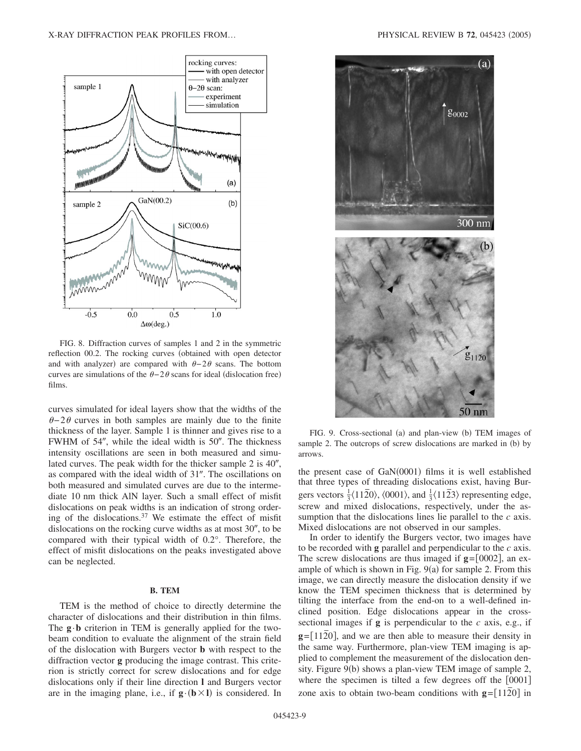

FIG. 8. Diffraction curves of samples 1 and 2 in the symmetric reflection 00.2. The rocking curves (obtained with open detector and with analyzer) are compared with  $\theta - 2\theta$  scans. The bottom curves are simulations of the  $\theta - 2\theta$  scans for ideal (dislocation free) films.

curves simulated for ideal layers show that the widths of the  $\theta$ −2 $\theta$  curves in both samples are mainly due to the finite thickness of the layer. Sample 1 is thinner and gives rise to a FWHM of 54", while the ideal width is 50". The thickness intensity oscillations are seen in both measured and simulated curves. The peak width for the thicker sample  $2$  is  $40''$ , as compared with the ideal width of 31". The oscillations on both measured and simulated curves are due to the intermediate 10 nm thick AlN layer. Such a small effect of misfit dislocations on peak widths is an indication of strong ordering of the dislocations.<sup>37</sup> We estimate the effect of misfit dislocations on the rocking curve widths as at most  $30''$ , to be compared with their typical width of 0.2°. Therefore, the effect of misfit dislocations on the peaks investigated above can be neglected.

# **B. TEM**

TEM is the method of choice to directly determine the character of dislocations and their distribution in thin films. The  $g \cdot b$  criterion in TEM is generally applied for the twobeam condition to evaluate the alignment of the strain field of the dislocation with Burgers vector **b** with respect to the diffraction vector **g** producing the image contrast. This criterion is strictly correct for screw dislocations and for edge dislocations only if their line direction **l** and Burgers vector are in the imaging plane, i.e., if  $\mathbf{g} \cdot (\mathbf{b} \times \mathbf{l})$  is considered. In



FIG. 9. Cross-sectional (a) and plan-view (b) TEM images of sample 2. The outcrops of screw dislocations are marked in (b) by arrows.

the present case of GaN(0001) films it is well established that three types of threading dislocations exist, having Burgers vectors  $\frac{1}{3}$  $(11\overline{2}0)$ ,  $(0001)$ , and  $\frac{1}{3}$  $(11\overline{2}3)$  representing edge, screw and mixed dislocations, respectively, under the assumption that the dislocations lines lie parallel to the *c* axis. Mixed dislocations are not observed in our samples.

In order to identify the Burgers vector, two images have to be recorded with **g** parallel and perpendicular to the *c* axis. The screw dislocations are thus imaged if  $g=[0002]$ , an example of which is shown in Fig.  $9(a)$  for sample 2. From this image, we can directly measure the dislocation density if we know the TEM specimen thickness that is determined by tilting the interface from the end-on to a well-defined inclined position. Edge dislocations appear in the crosssectional images if **g** is perpendicular to the *c* axis, e.g., if  $g = [1120]$ , and we are then able to measure their density in the same way. Furthermore, plan-view TEM imaging is applied to complement the measurement of the dislocation density. Figure 9(b) shows a plan-view TEM image of sample 2, where the specimen is tilted a few degrees off the  $[0001]$ zone axis to obtain two-beam conditions with  $g=[1120]$  in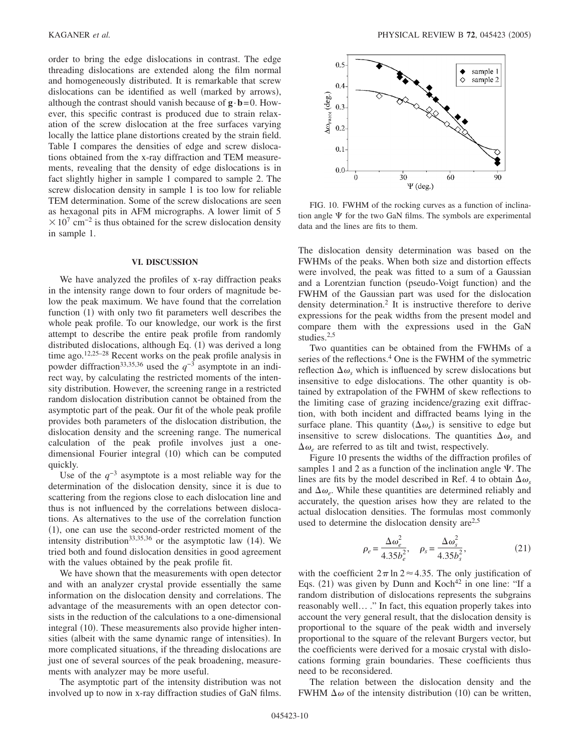order to bring the edge dislocations in contrast. The edge threading dislocations are extended along the film normal and homogeneously distributed. It is remarkable that screw dislocations can be identified as well (marked by arrows), although the contrast should vanish because of  $g \cdot b = 0$ . However, this specific contrast is produced due to strain relaxation of the screw dislocation at the free surfaces varying locally the lattice plane distortions created by the strain field. Table I compares the densities of edge and screw dislocations obtained from the x-ray diffraction and TEM measurements, revealing that the density of edge dislocations is in fact slightly higher in sample 1 compared to sample 2. The screw dislocation density in sample 1 is too low for reliable TEM determination. Some of the screw dislocations are seen as hexagonal pits in AFM micrographs. A lower limit of 5  $\times$ 10<sup>7</sup> cm<sup>-2</sup> is thus obtained for the screw dislocation density in sample 1.

#### **VI. DISCUSSION**

We have analyzed the profiles of x-ray diffraction peaks in the intensity range down to four orders of magnitude below the peak maximum. We have found that the correlation function (1) with only two fit parameters well describes the whole peak profile. To our knowledge, our work is the first attempt to describe the entire peak profile from randomly distributed dislocations, although Eq. (1) was derived a long time ago.<sup>12,25–28</sup> Recent works on the peak profile analysis in powder diffraction<sup>33,35,36</sup> used the  $q^{-3}$  asymptote in an indirect way, by calculating the restricted moments of the intensity distribution. However, the screening range in a restricted random dislocation distribution cannot be obtained from the asymptotic part of the peak. Our fit of the whole peak profile provides both parameters of the dislocation distribution, the dislocation density and the screening range. The numerical calculation of the peak profile involves just a onedimensional Fourier integral (10) which can be computed quickly.

Use of the  $q^{-3}$  asymptote is a most reliable way for the determination of the dislocation density, since it is due to scattering from the regions close to each dislocation line and thus is not influenced by the correlations between dislocations. As alternatives to the use of the correlation function (1), one can use the second-order restricted moment of the intensity distribution<sup>33,35,36</sup> or the asymptotic law  $(14)$ . We tried both and found dislocation densities in good agreement with the values obtained by the peak profile fit.

We have shown that the measurements with open detector and with an analyzer crystal provide essentially the same information on the dislocation density and correlations. The advantage of the measurements with an open detector consists in the reduction of the calculations to a one-dimensional integral (10). These measurements also provide higher intensities (albeit with the same dynamic range of intensities). In more complicated situations, if the threading dislocations are just one of several sources of the peak broadening, measurements with analyzer may be more useful.

The asymptotic part of the intensity distribution was not involved up to now in x-ray diffraction studies of GaN films.



FIG. 10. FWHM of the rocking curves as a function of inclination angle  $\Psi$  for the two GaN films. The symbols are experimental data and the lines are fits to them.

The dislocation density determination was based on the FWHMs of the peaks. When both size and distortion effects were involved, the peak was fitted to a sum of a Gaussian and a Lorentzian function (pseudo-Voigt function) and the FWHM of the Gaussian part was used for the dislocation density determination.2 It is instructive therefore to derive expressions for the peak widths from the present model and compare them with the expressions used in the GaN studies. $2,5$ 

Two quantities can be obtained from the FWHMs of a series of the reflections.<sup>4</sup> One is the FWHM of the symmetric reflection  $\Delta \omega$ , which is influenced by screw dislocations but insensitive to edge dislocations. The other quantity is obtained by extrapolation of the FWHM of skew reflections to the limiting case of grazing incidence/grazing exit diffraction, with both incident and diffracted beams lying in the surface plane. This quantity  $(\Delta \omega_e)$  is sensitive to edge but insensitive to screw dislocations. The quantities  $\Delta \omega_{s}$  and  $\Delta\omega_e$  are referred to as tilt and twist, respectively.

Figure 10 presents the widths of the diffraction profiles of samples 1 and 2 as a function of the inclination angle  $\Psi$ . The lines are fits by the model described in Ref. 4 to obtain  $\Delta \omega_s$ and  $\Delta\omega_e$ . While these quantities are determined reliably and accurately, the question arises how they are related to the actual dislocation densities. The formulas most commonly used to determine the dislocation density are $2.5$ 

$$
\rho_e = \frac{\Delta \omega_e^2}{4.35 b_e^2}, \quad \rho_s = \frac{\Delta \omega_s^2}{4.35 b_s^2}, \tag{21}
$$

with the coefficient  $2\pi \ln 2 \approx 4.35$ . The only justification of Eqs.  $(21)$  was given by Dunn and Koch<sup>42</sup> in one line: "If a random distribution of dislocations represents the subgrains reasonably well… ." In fact, this equation properly takes into account the very general result, that the dislocation density is proportional to the square of the peak width and inversely proportional to the square of the relevant Burgers vector, but the coefficients were derived for a mosaic crystal with dislocations forming grain boundaries. These coefficients thus need to be reconsidered.

The relation between the dislocation density and the FWHM  $\Delta\omega$  of the intensity distribution (10) can be written,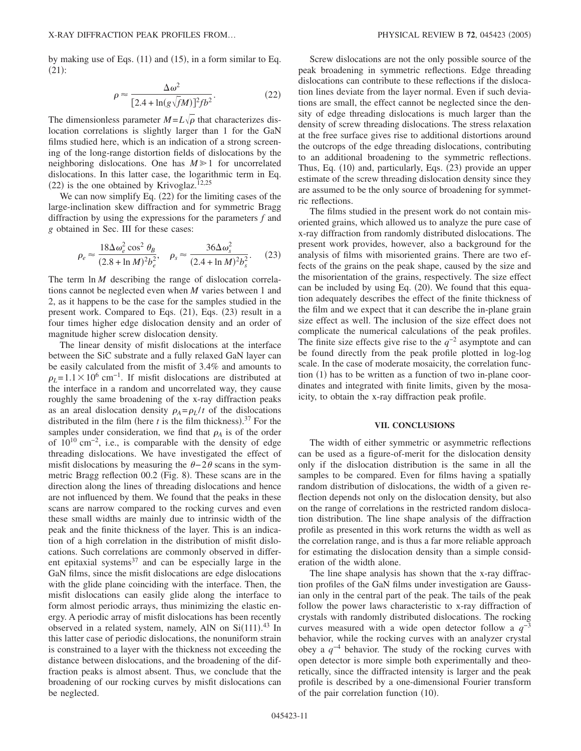by making use of Eqs.  $(11)$  and  $(15)$ , in a form similar to Eq.  $(21)$ :

$$
\rho \approx \frac{\Delta \omega^2}{[2.4 + \ln(g\sqrt{f}M)]^2 fb^2}.
$$
\n(22)

The dimensionless parameter  $M = L\sqrt{\rho}$  that characterizes dislocation correlations is slightly larger than 1 for the GaN films studied here, which is an indication of a strong screening of the long-range distortion fields of dislocations by the neighboring dislocations. One has  $M \geq 1$  for uncorrelated dislocations. In this latter case, the logarithmic term in Eq.  $(22)$  is the one obtained by Krivoglaz.<sup>12,25</sup>

We can now simplify Eq. (22) for the limiting cases of the large-inclination skew diffraction and for symmetric Bragg diffraction by using the expressions for the parameters *f* and *g* obtained in Sec. III for these cases:

$$
\rho_e \approx \frac{18\Delta\omega_e^2 \cos^2\theta_B}{(2.8 + \ln M)^2 b_e^2}, \quad \rho_s \approx \frac{36\Delta\omega_s^2}{(2.4 + \ln M)^2 b_s^2}.
$$
 (23)

The term  $\ln M$  describing the range of dislocation correlations cannot be neglected even when *M* varies between 1 and 2, as it happens to be the case for the samples studied in the present work. Compared to Eqs. (21), Eqs. (23) result in a four times higher edge dislocation density and an order of magnitude higher screw dislocation density.

The linear density of misfit dislocations at the interface between the SiC substrate and a fully relaxed GaN layer can be easily calculated from the misfit of 3.4% and amounts to  $\rho_L$ =1.1 × 10<sup>6</sup> cm<sup>-1</sup>. If misfit dislocations are distributed at the interface in a random and uncorrelated way, they cause roughly the same broadening of the x-ray diffraction peaks as an areal dislocation density  $\rho_A = \rho_L / t$  of the dislocations distributed in the film (here  $t$  is the film thickness).<sup>37</sup> For the samples under consideration, we find that  $\rho_A$  is of the order of  $10^{10}$  cm<sup>-2</sup>, i.e., is comparable with the density of edge threading dislocations. We have investigated the effect of misfit dislocations by measuring the  $\theta - 2\theta$  scans in the symmetric Bragg reflection 00.2 (Fig. 8). These scans are in the direction along the lines of threading dislocations and hence are not influenced by them. We found that the peaks in these scans are narrow compared to the rocking curves and even these small widths are mainly due to intrinsic width of the peak and the finite thickness of the layer. This is an indication of a high correlation in the distribution of misfit dislocations. Such correlations are commonly observed in different epitaxial systems $37$  and can be especially large in the GaN films, since the misfit dislocations are edge dislocations with the glide plane coinciding with the interface. Then, the misfit dislocations can easily glide along the interface to form almost periodic arrays, thus minimizing the elastic energy. A periodic array of misfit dislocations has been recently observed in a related system, namely, AlN on  $Si(111).<sup>43</sup>$  In this latter case of periodic dislocations, the nonuniform strain is constrained to a layer with the thickness not exceeding the distance between dislocations, and the broadening of the diffraction peaks is almost absent. Thus, we conclude that the broadening of our rocking curves by misfit dislocations can be neglected.

Screw dislocations are not the only possible source of the peak broadening in symmetric reflections. Edge threading dislocations can contribute to these reflections if the dislocation lines deviate from the layer normal. Even if such deviations are small, the effect cannot be neglected since the density of edge threading dislocations is much larger than the density of screw threading dislocations. The stress relaxation at the free surface gives rise to additional distortions around the outcrops of the edge threading dislocations, contributing to an additional broadening to the symmetric reflections. Thus, Eq. (10) and, particularly, Eqs. (23) provide an upper estimate of the screw threading dislocation density since they are assumed to be the only source of broadening for symmetric reflections.

The films studied in the present work do not contain misoriented grains, which allowed us to analyze the pure case of x-ray diffraction from randomly distributed dislocations. The present work provides, however, also a background for the analysis of films with misoriented grains. There are two effects of the grains on the peak shape, caused by the size and the misorientation of the grains, respectively. The size effect can be included by using Eq. (20). We found that this equation adequately describes the effect of the finite thickness of the film and we expect that it can describe the in-plane grain size effect as well. The inclusion of the size effect does not complicate the numerical calculations of the peak profiles. The finite size effects give rise to the  $q^{-2}$  asymptote and can be found directly from the peak profile plotted in log-log scale. In the case of moderate mosaicity, the correlation function (1) has to be written as a function of two in-plane coordinates and integrated with finite limits, given by the mosaicity, to obtain the x-ray diffraction peak profile.

## **VII. CONCLUSIONS**

The width of either symmetric or asymmetric reflections can be used as a figure-of-merit for the dislocation density only if the dislocation distribution is the same in all the samples to be compared. Even for films having a spatially random distribution of dislocations, the width of a given reflection depends not only on the dislocation density, but also on the range of correlations in the restricted random dislocation distribution. The line shape analysis of the diffraction profile as presented in this work returns the width as well as the correlation range, and is thus a far more reliable approach for estimating the dislocation density than a simple consideration of the width alone.

The line shape analysis has shown that the x-ray diffraction profiles of the GaN films under investigation are Gaussian only in the central part of the peak. The tails of the peak follow the power laws characteristic to x-ray diffraction of crystals with randomly distributed dislocations. The rocking curves measured with a wide open detector follow a *q*−3 behavior, while the rocking curves with an analyzer crystal obey a *q*−4 behavior. The study of the rocking curves with open detector is more simple both experimentally and theoretically, since the diffracted intensity is larger and the peak profile is described by a one-dimensional Fourier transform of the pair correlation function (10).